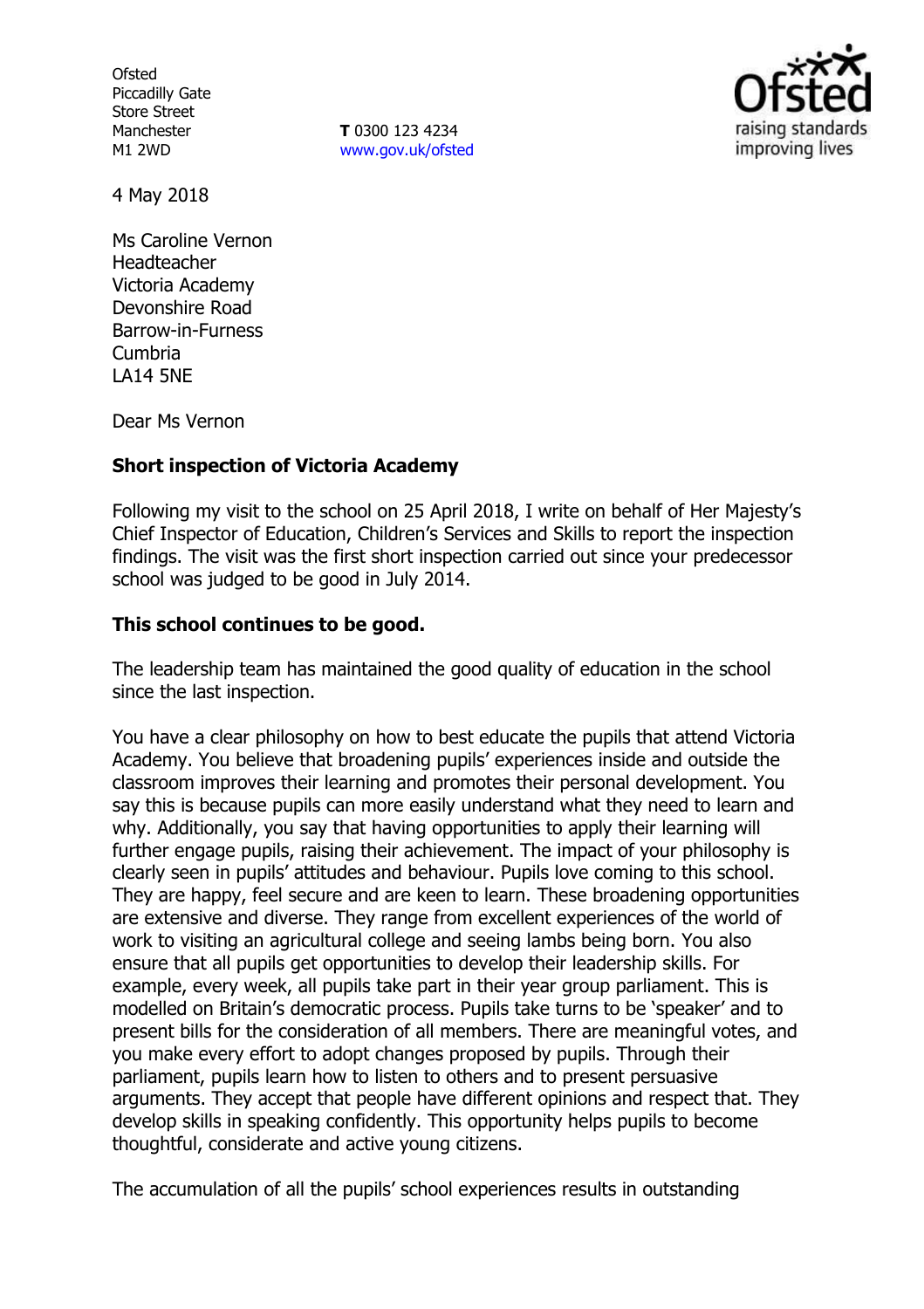**Ofsted** Piccadilly Gate Store Street Manchester M1 2WD

**T** 0300 123 4234 www.gov.uk/ofsted



4 May 2018

Ms Caroline Vernon Headteacher Victoria Academy Devonshire Road Barrow-in-Furness Cumbria LA14 5NE

Dear Ms Vernon

### **Short inspection of Victoria Academy**

Following my visit to the school on 25 April 2018, I write on behalf of Her Majesty's Chief Inspector of Education, Children's Services and Skills to report the inspection findings. The visit was the first short inspection carried out since your predecessor school was judged to be good in July 2014.

### **This school continues to be good.**

The leadership team has maintained the good quality of education in the school since the last inspection.

You have a clear philosophy on how to best educate the pupils that attend Victoria Academy. You believe that broadening pupils' experiences inside and outside the classroom improves their learning and promotes their personal development. You say this is because pupils can more easily understand what they need to learn and why. Additionally, you say that having opportunities to apply their learning will further engage pupils, raising their achievement. The impact of your philosophy is clearly seen in pupils' attitudes and behaviour. Pupils love coming to this school. They are happy, feel secure and are keen to learn. These broadening opportunities are extensive and diverse. They range from excellent experiences of the world of work to visiting an agricultural college and seeing lambs being born. You also ensure that all pupils get opportunities to develop their leadership skills. For example, every week, all pupils take part in their year group parliament. This is modelled on Britain's democratic process. Pupils take turns to be 'speaker' and to present bills for the consideration of all members. There are meaningful votes, and you make every effort to adopt changes proposed by pupils. Through their parliament, pupils learn how to listen to others and to present persuasive arguments. They accept that people have different opinions and respect that. They develop skills in speaking confidently. This opportunity helps pupils to become thoughtful, considerate and active young citizens.

The accumulation of all the pupils' school experiences results in outstanding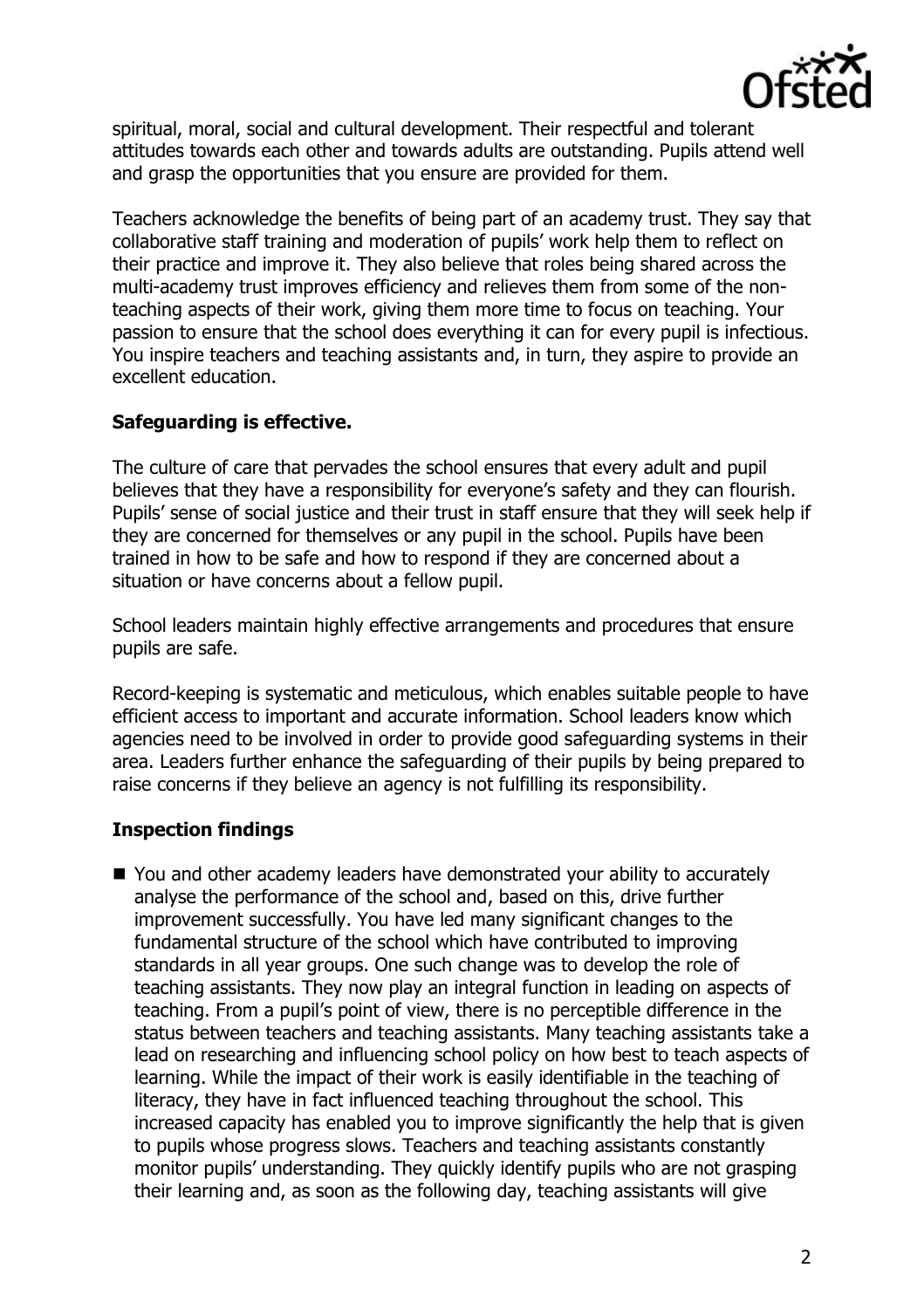

spiritual, moral, social and cultural development. Their respectful and tolerant attitudes towards each other and towards adults are outstanding. Pupils attend well and grasp the opportunities that you ensure are provided for them.

Teachers acknowledge the benefits of being part of an academy trust. They say that collaborative staff training and moderation of pupils' work help them to reflect on their practice and improve it. They also believe that roles being shared across the multi-academy trust improves efficiency and relieves them from some of the nonteaching aspects of their work, giving them more time to focus on teaching. Your passion to ensure that the school does everything it can for every pupil is infectious. You inspire teachers and teaching assistants and, in turn, they aspire to provide an excellent education.

# **Safeguarding is effective.**

The culture of care that pervades the school ensures that every adult and pupil believes that they have a responsibility for everyone's safety and they can flourish. Pupils' sense of social justice and their trust in staff ensure that they will seek help if they are concerned for themselves or any pupil in the school. Pupils have been trained in how to be safe and how to respond if they are concerned about a situation or have concerns about a fellow pupil.

School leaders maintain highly effective arrangements and procedures that ensure pupils are safe.

Record-keeping is systematic and meticulous, which enables suitable people to have efficient access to important and accurate information. School leaders know which agencies need to be involved in order to provide good safeguarding systems in their area. Leaders further enhance the safeguarding of their pupils by being prepared to raise concerns if they believe an agency is not fulfilling its responsibility.

### **Inspection findings**

■ You and other academy leaders have demonstrated your ability to accurately analyse the performance of the school and, based on this, drive further improvement successfully. You have led many significant changes to the fundamental structure of the school which have contributed to improving standards in all year groups. One such change was to develop the role of teaching assistants. They now play an integral function in leading on aspects of teaching. From a pupil's point of view, there is no perceptible difference in the status between teachers and teaching assistants. Many teaching assistants take a lead on researching and influencing school policy on how best to teach aspects of learning. While the impact of their work is easily identifiable in the teaching of literacy, they have in fact influenced teaching throughout the school. This increased capacity has enabled you to improve significantly the help that is given to pupils whose progress slows. Teachers and teaching assistants constantly monitor pupils' understanding. They quickly identify pupils who are not grasping their learning and, as soon as the following day, teaching assistants will give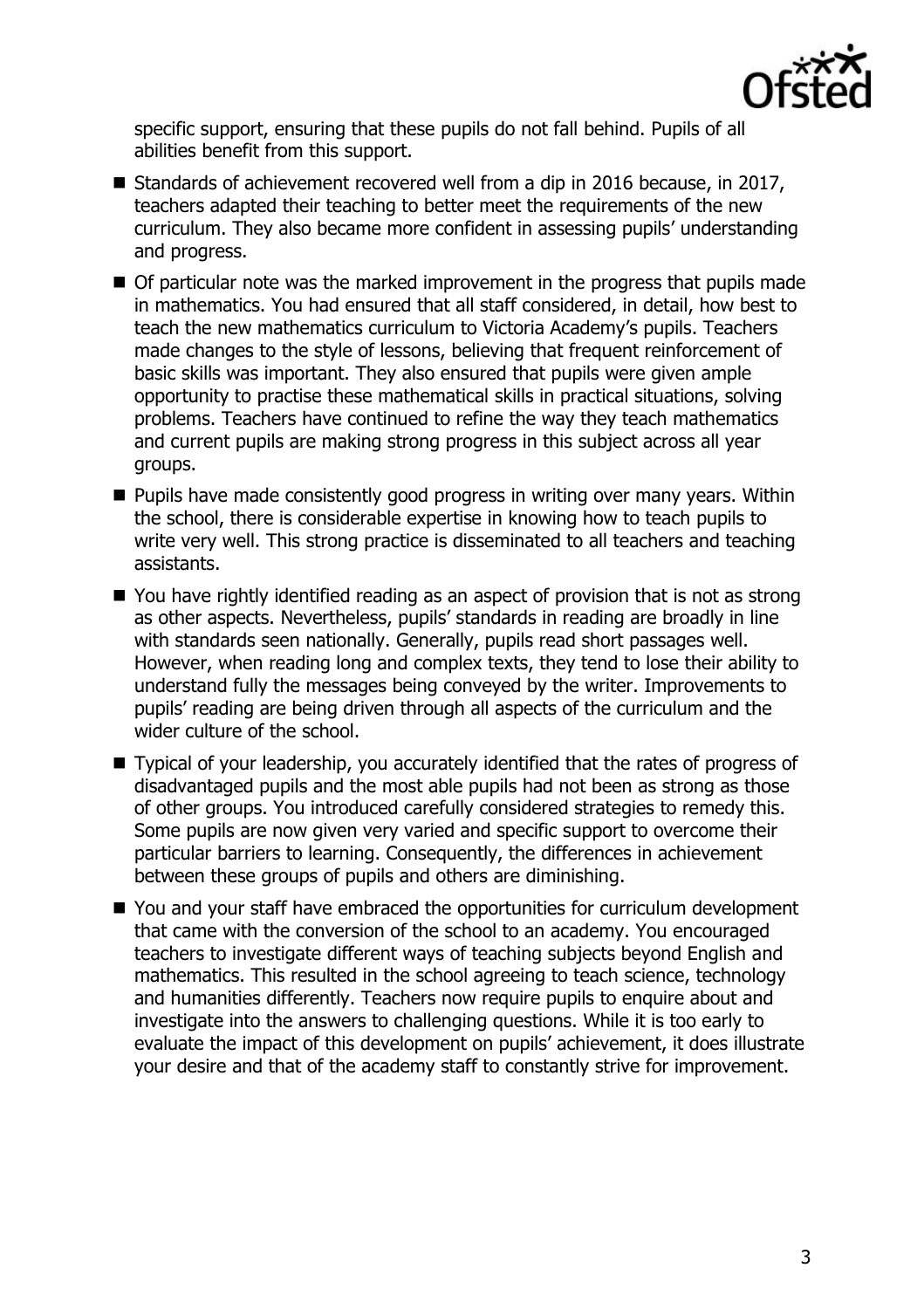

specific support, ensuring that these pupils do not fall behind. Pupils of all abilities benefit from this support.

- Standards of achievement recovered well from a dip in 2016 because, in 2017, teachers adapted their teaching to better meet the requirements of the new curriculum. They also became more confident in assessing pupils' understanding and progress.
- Of particular note was the marked improvement in the progress that pupils made in mathematics. You had ensured that all staff considered, in detail, how best to teach the new mathematics curriculum to Victoria Academy's pupils. Teachers made changes to the style of lessons, believing that frequent reinforcement of basic skills was important. They also ensured that pupils were given ample opportunity to practise these mathematical skills in practical situations, solving problems. Teachers have continued to refine the way they teach mathematics and current pupils are making strong progress in this subject across all year groups.
- **Pupils have made consistently good progress in writing over many vears. Within** the school, there is considerable expertise in knowing how to teach pupils to write very well. This strong practice is disseminated to all teachers and teaching assistants.
- You have rightly identified reading as an aspect of provision that is not as strong as other aspects. Nevertheless, pupils' standards in reading are broadly in line with standards seen nationally. Generally, pupils read short passages well. However, when reading long and complex texts, they tend to lose their ability to understand fully the messages being conveyed by the writer. Improvements to pupils' reading are being driven through all aspects of the curriculum and the wider culture of the school.
- Typical of your leadership, you accurately identified that the rates of progress of disadvantaged pupils and the most able pupils had not been as strong as those of other groups. You introduced carefully considered strategies to remedy this. Some pupils are now given very varied and specific support to overcome their particular barriers to learning. Consequently, the differences in achievement between these groups of pupils and others are diminishing.
- You and your staff have embraced the opportunities for curriculum development that came with the conversion of the school to an academy. You encouraged teachers to investigate different ways of teaching subjects beyond English and mathematics. This resulted in the school agreeing to teach science, technology and humanities differently. Teachers now require pupils to enquire about and investigate into the answers to challenging questions. While it is too early to evaluate the impact of this development on pupils' achievement, it does illustrate your desire and that of the academy staff to constantly strive for improvement.